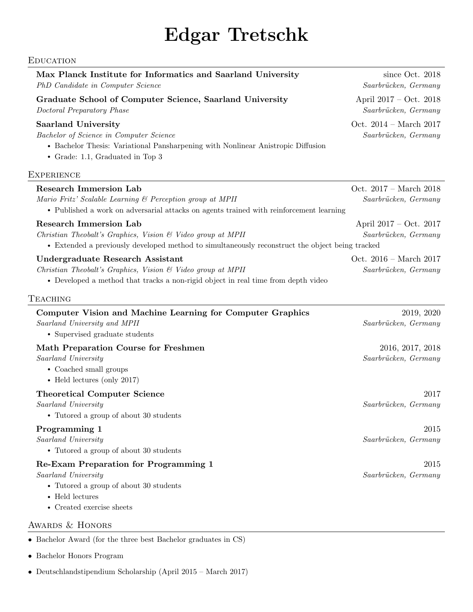## Edgar Tretschk

## EDUCATION

| Max Planck Institute for Informatics and Saarland University<br>PhD Candidate in Computer Science                                                                                                          | since Oct. 2018<br>Saarbrücken, Germany          |
|------------------------------------------------------------------------------------------------------------------------------------------------------------------------------------------------------------|--------------------------------------------------|
| Graduate School of Computer Science, Saarland University<br>Doctoral Preparatory Phase                                                                                                                     | April $2017 - Oct. 2018$<br>Saarbrücken, Germany |
| <b>Saarland University</b><br>Bachelor of Science in Computer Science<br>• Bachelor Thesis: Variational Pansharpening with Nonlinear Anistropic Diffusion<br>• Grade: 1.1, Graduated in Top 3              | Oct. $2014 - March 2017$<br>Saarbrücken, Germany |
| <b>EXPERIENCE</b>                                                                                                                                                                                          |                                                  |
| <b>Research Immersion Lab</b><br>Mario Fritz' Scalable Learning & Perception group at MPII<br>• Published a work on adversarial attacks on agents trained with reinforcement learning                      | Oct. 2017 - March 2018<br>Saarbrücken, Germany   |
| <b>Research Immersion Lab</b><br>Christian Theobalt's Graphics, Vision $\mathcal C$ Video group at MPII<br>• Extended a previously developed method to simultaneously reconstruct the object being tracked | April $2017 - Oct. 2017$<br>Saarbrücken, Germany |
| Undergraduate Research Assistant<br>Christian Theobalt's Graphics, Vision & Video group at MPII<br>• Developed a method that tracks a non-rigid object in real time from depth video                       | Oct. $2016 - March 2017$<br>Saarbrücken, Germany |
| TEACHING                                                                                                                                                                                                   |                                                  |
| Computer Vision and Machine Learning for Computer Graphics<br>Saarland University and MPII<br>• Supervised graduate students                                                                               | 2019, 2020<br>Saarbrücken, Germany               |
| <b>Math Preparation Course for Freshmen</b><br>Saarland University<br>• Coached small groups<br>$\bullet$ Held lectures (only 2017)                                                                        | 2016, 2017, 2018<br>Saarbrücken, Germany         |
| <b>Theoretical Computer Science</b><br>Saarland University<br>• Tutored a group of about 30 students                                                                                                       | 2017<br>Saarbrücken, Germany                     |
| Programming 1<br>Saarland University<br>• Tutored a group of about 30 students                                                                                                                             | 2015<br>Saarbrücken, Germany                     |
| Re-Exam Preparation for Programming 1<br>Saarland University<br>• Tutored a group of about 30 students<br>$\bullet$ Held lectures<br>$\bullet$ Created exercise sheets                                     | 2015<br>Saarbrücken, Germany                     |
| AWARDS & HONORS                                                                                                                                                                                            |                                                  |

- Bachelor Award (for the three best Bachelor graduates in CS)
- Bachelor Honors Program
- Deutschlandstipendium Scholarship (April 2015 March 2017)